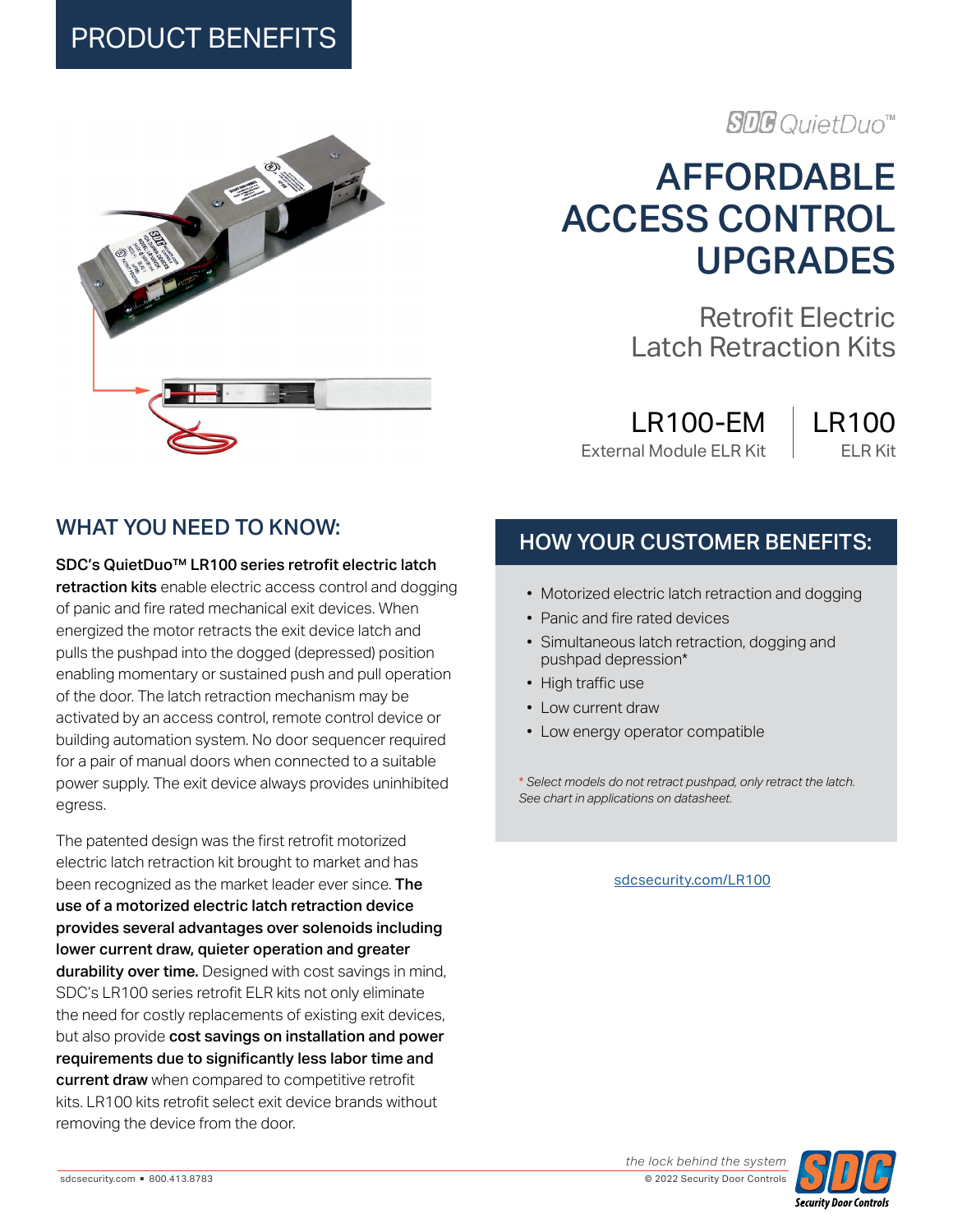### PRODUCT BENEFITS



### **SDG** QuietDuo™

## AFFORDABLE ACCESS CONTROL UPGRADES

Retrofit Electric Latch Retraction Kits

LR100-EM External Module ELR Kit

#### LR100 ELR Kit

#### WHAT YOU NEED TO KNOW:

SDC's QuietDuo™ LR100 series retrofit electric latch

retraction kits enable electric access control and dogging of panic and fire rated mechanical exit devices. When energized the motor retracts the exit device latch and pulls the pushpad into the dogged (depressed) position enabling momentary or sustained push and pull operation of the door. The latch retraction mechanism may be activated by an access control, remote control device or building automation system. No door sequencer required for a pair of manual doors when connected to a suitable power supply. The exit device always provides uninhibited egress.

The patented design was the first retrofit motorized electric latch retraction kit brought to market and has been recognized as the market leader ever since. The use of a motorized electric latch retraction device provides several advantages over solenoids including lower current draw, quieter operation and greater durability over time. Designed with cost savings in mind, SDC's LR100 series retrofit ELR kits not only eliminate the need for costly replacements of existing exit devices, but also provide cost savings on installation and power requirements due to significantly less labor time and current draw when compared to competitive retrofit kits. LR100 kits retrofit select exit device brands without removing the device from the door.

#### HOW YOUR CUSTOMER BENEFITS:

- Motorized electric latch retraction and dogging
- Panic and fire rated devices
- Simultaneous latch retraction, dogging and pushpad depression\*
- High traffic use
- Low current draw
- Low energy operator compatible

\* *Select models do not retract pushpad, only retract the latch. See chart in applications on datasheet.*

#### [sdcsecurity.com/LR100](https://www.sdcsecurity.com/LR100-QUIET-DUO-ELR-Kit.htm)